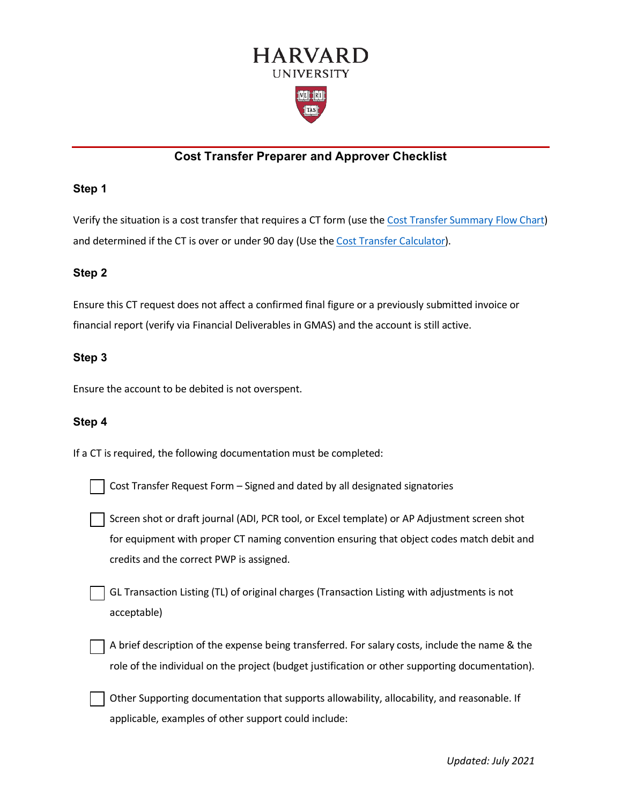

# **Cost Transfer Preparer and Approver Checklist**

#### **Step 1**

Verify the situation is a cost transfer that requires a CT form (use the [Cost Transfer Summary Flow Chart\)](https://osp.finance.harvard.edu/cost-transfer-policy#resources) and determined if the CT is over or under 90 day (Use the [Cost Transfer Calculator\)](https://osp.finance.harvard.edu/files/office-for-sponsored-programs/files/cost_transfer_calculator_september_2019.xlsx).

#### **Step 2**

Ensure this CT request does not affect a confirmed final figure or a previously submitted invoice or financial report (verify via Financial Deliverables in GMAS) and the account is still active.

#### **Step 3**

Ensure the account to be debited is not overspent.

#### **Step 4**

If a CT is required, the following documentation must be completed:

| Cost Transfer Request Form - Signed and dated by all designated signatories |
|-----------------------------------------------------------------------------|
|                                                                             |

Screen shot or draft journal (ADI, PCR tool, or Excel template) or AP Adjustment screen shot for equipment with proper CT naming convention ensuring that object codes match debit and credits and the correct PWP is assigned.

GL Transaction Listing (TL) of original charges (Transaction Listing with adjustments is not acceptable)

A brief description of the expense being transferred. For salary costs, include the name & the role of the individual on the project (budget justification or other supporting documentation).

 Other Supporting documentation that supports allowability, allocability, and reasonable. If applicable, examples of other support could include: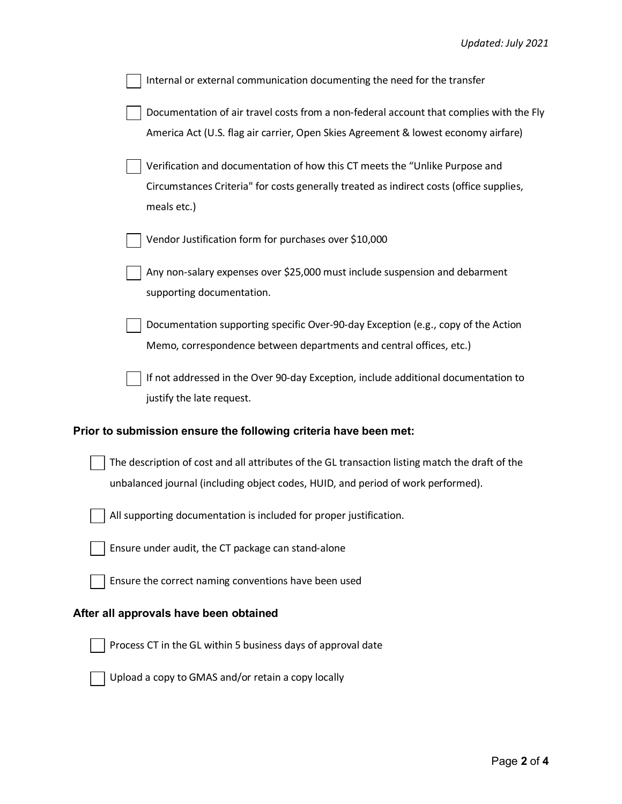| Internal or external communication documenting the need for the transfer                                                                                                              |
|---------------------------------------------------------------------------------------------------------------------------------------------------------------------------------------|
| Documentation of air travel costs from a non-federal account that complies with the Fly<br>America Act (U.S. flag air carrier, Open Skies Agreement & lowest economy airfare)         |
| Verification and documentation of how this CT meets the "Unlike Purpose and<br>Circumstances Criteria" for costs generally treated as indirect costs (office supplies,<br>meals etc.) |
| Vendor Justification form for purchases over \$10,000                                                                                                                                 |
| Any non-salary expenses over \$25,000 must include suspension and debarment<br>supporting documentation.                                                                              |
| Documentation supporting specific Over-90-day Exception (e.g., copy of the Action<br>Memo, correspondence between departments and central offices, etc.)                              |
| If not addressed in the Over 90-day Exception, include additional documentation to<br>justify the late request.                                                                       |
| Prior to submission ensure the following criteria have been met:                                                                                                                      |
| The description of cost and all attributes of the GL transaction listing match the draft of the<br>unbalanced journal (including object codes, HUID, and period of work performed).   |
| All supporting documentation is included for proper justification.                                                                                                                    |
| Ensure under audit, the CT package can stand-alone                                                                                                                                    |
| Ensure the correct naming conventions have been used                                                                                                                                  |
| After all approvals have been obtained                                                                                                                                                |
| Process CT in the GL within 5 business days of approval date                                                                                                                          |
| Upload a copy to GMAS and/or retain a copy locally                                                                                                                                    |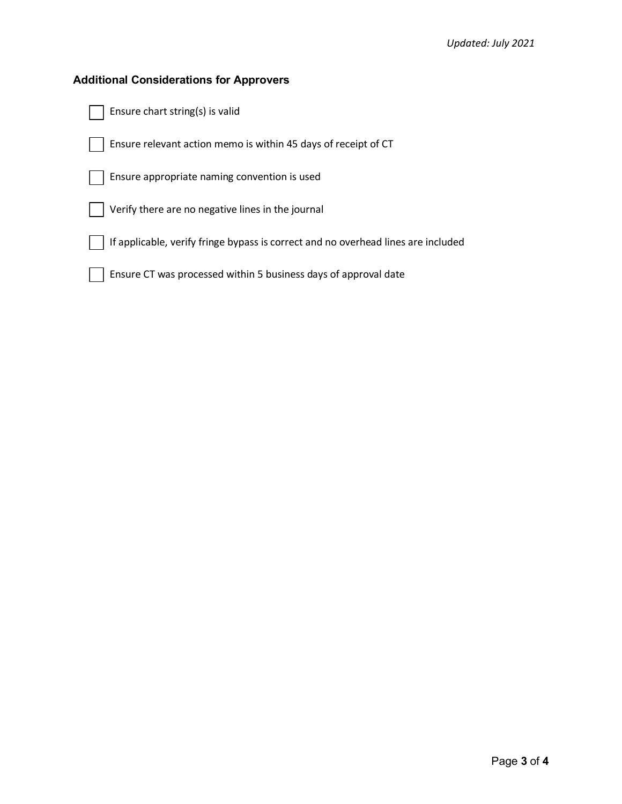### **Additional Considerations for Approvers**